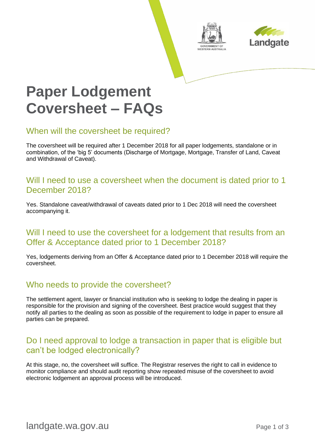



# **Paper Lodgement Coversheet – FAQs**

#### When will the coversheet be required?

The coversheet will be required after 1 December 2018 for all paper lodgements, standalone or in combination, of the 'big 5' documents (Discharge of Mortgage, Mortgage, Transfer of Land, Caveat and Withdrawal of Caveat).

## Will I need to use a coversheet when the document is dated prior to 1 December 2018?

Yes. Standalone caveat/withdrawal of caveats dated prior to 1 Dec 2018 will need the coversheet accompanying it.

## Will I need to use the coversheet for a lodgement that results from an Offer & Acceptance dated prior to 1 December 2018?

Yes, lodgements deriving from an Offer & Acceptance dated prior to 1 December 2018 will require the coversheet.

# Who needs to provide the coversheet?

The settlement agent, lawyer or financial institution who is seeking to lodge the dealing in paper is responsible for the provision and signing of the coversheet. Best practice would suggest that they notify all parties to the dealing as soon as possible of the requirement to lodge in paper to ensure all parties can be prepared.

## Do I need approval to lodge a transaction in paper that is eligible but can't be lodged electronically?

At this stage, no, the coversheet will suffice. The Registrar reserves the right to call in evidence to monitor compliance and should audit reporting show repeated misuse of the coversheet to avoid electronic lodgement an approval process will be introduced.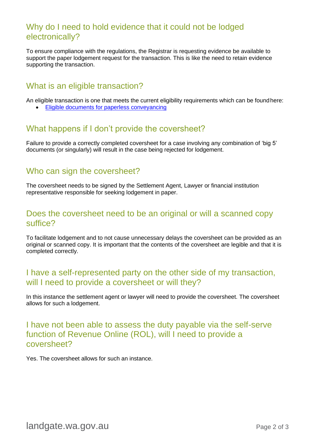## Why do I need to hold evidence that it could not be lodged electronically?

To ensure compliance with the regulations, the Registrar is requesting evidence be available to support the paper lodgement request for the transaction. This is like the need to retain evidence supporting the transaction.

## What is an eligible transaction?

An eligible transaction is one that meets the current eligibility requirements which can be foundhere:

• [Eligible documents for paperless](https://www0.landgate.wa.gov.au/__data/assets/pdf_file/0016/16450/Eligible-documents-for-paperless-conveyancing.pdf) conveyancing

## What happens if I don't provide the coversheet?

Failure to provide a correctly completed coversheet for a case involving any combination of 'big 5' documents (or singularly) will result in the case being rejected for lodgement.

#### Who can sign the coversheet?

The coversheet needs to be signed by the Settlement Agent, Lawyer or financial institution representative responsible for seeking lodgement in paper.

## Does the coversheet need to be an original or will a scanned copy suffice?

To facilitate lodgement and to not cause unnecessary delays the coversheet can be provided as an original or scanned copy. It is important that the contents of the coversheet are legible and that it is completed correctly.

## I have a self-represented party on the other side of my transaction, will I need to provide a coversheet or will they?

In this instance the settlement agent or lawyer will need to provide the coversheet. The coversheet allows for such a lodgement.

## I have not been able to assess the duty payable via the self-serve function of Revenue Online (ROL), will I need to provide a coversheet?

Yes. The coversheet allows for such an instance.